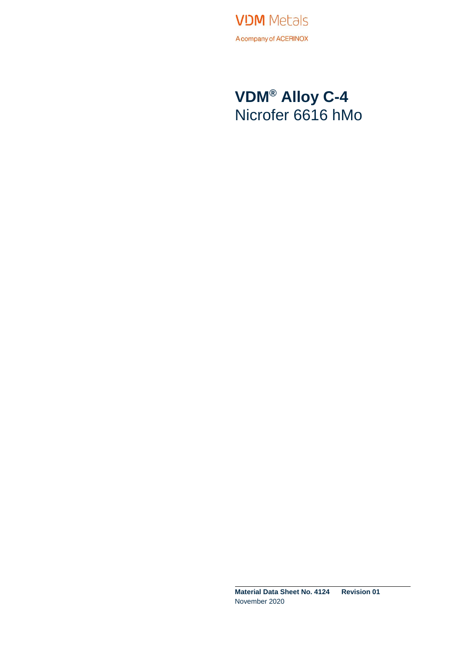

### **VDM® Alloy C-4** Nicrofer 6616 hMo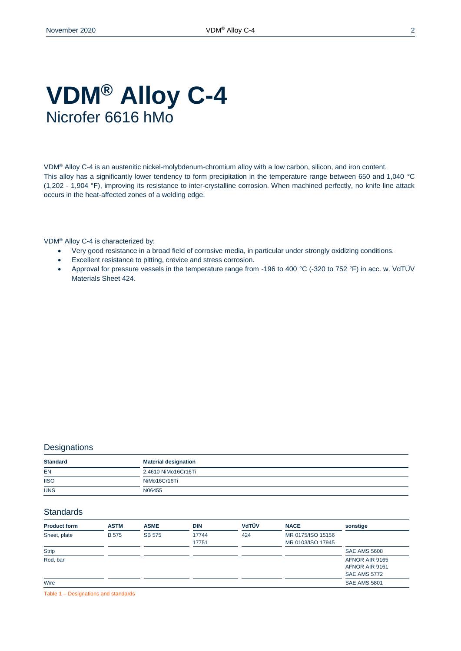### **VDM® Alloy C-4** Nicrofer 6616 hMo

VDM® Alloy C-4 is an austenitic nickel-molybdenum-chromium alloy with a low carbon, silicon, and iron content. This alloy has a significantly lower tendency to form precipitation in the temperature range between 650 and 1,040 °C (1,202 - 1,904 °F), improving its resistance to inter-crystalline corrosion. When machined perfectly, no knife line attack occurs in the heat-affected zones of a welding edge.

VDM® Alloy C-4 is characterized by:

- Very good resistance in a broad field of corrosive media, in particular under strongly oxidizing conditions.
- Excellent resistance to pitting, crevice and stress corrosion.
- Approval for pressure vessels in the temperature range from -196 to 400 °C (-320 to 752 °F) in acc. w. VdTÜV Materials Sheet 424.

#### **Designations**

| <b>Standard</b> | <b>Material designation</b> |
|-----------------|-----------------------------|
| <b>EN</b>       | 2.4610 NiMo16Cr16Ti         |
| <b>IISO</b>     | NiMo16Cr16Ti                |
| <b>UNS</b>      | N06455                      |

#### **Standards**

| <b>Product form</b> | <b>ASTM</b> | <b>ASME</b>   | <b>DIN</b>     | <b>VdTÜV</b> | <b>NACE</b>                            | sonstige                                                |
|---------------------|-------------|---------------|----------------|--------------|----------------------------------------|---------------------------------------------------------|
| Sheet, plate        | <b>B575</b> | <b>SB 575</b> | 17744<br>17751 | 424          | MR 0175/ISO 15156<br>MR 0103/ISO 17945 |                                                         |
| <b>Strip</b>        |             |               |                |              |                                        | <b>SAE AMS 5608</b>                                     |
| Rod, bar            |             |               |                |              |                                        | AFNOR AIR 9165<br>AFNOR AIR 9161<br><b>SAE AMS 5772</b> |
| Wire                |             |               |                |              |                                        | <b>SAE AMS 5801</b>                                     |

Table 1 – Designations and standards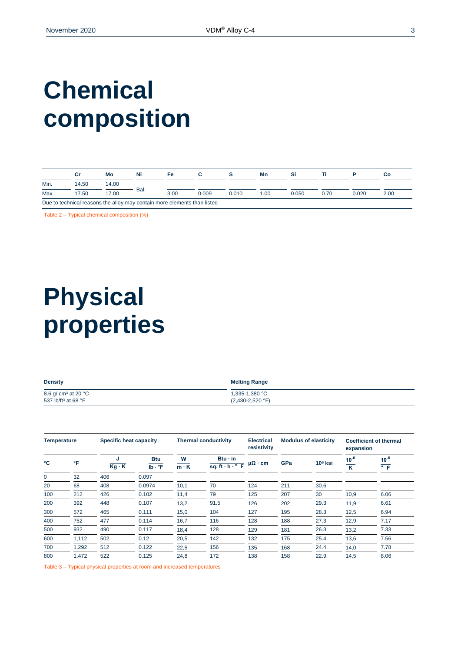## **Chemical composition**

|                                                                          |       | Mo    | Ni   | Fe   |       |       | Mn  |       |      |       | Сo   |
|--------------------------------------------------------------------------|-------|-------|------|------|-------|-------|-----|-------|------|-------|------|
| Min.                                                                     | 14.50 | 14.00 |      |      |       |       |     |       |      |       |      |
| Max.                                                                     | 17.50 | 17.00 | Bal. | 3.00 | 0.009 | 0.010 | .00 | 0.050 | 0.70 | 0.020 | 2.00 |
| Due to technical reasons the alloy may contain more elements than listed |       |       |      |      |       |       |     |       |      |       |      |

Table 2 – Typical chemical composition (%)

## **Physical properties**

| <b>Density</b>                  | <b>Melting Range</b>      |
|---------------------------------|---------------------------|
| 8.6 g/ cm <sup>3</sup> at 20 °C | 1,335-1,380 °C            |
| 537 lb/ft <sup>3</sup> at 68 °F | $(2,430-2,520 \degree F)$ |

| Specific heat capacity<br>Temperature |       |                   | <b>Thermal conductivity</b>          |                  | <b>Modulus of elasticity</b>                                    |                      | <b>Coefficient of thermal</b><br>expansion |           |                                      |                                |
|---------------------------------------|-------|-------------------|--------------------------------------|------------------|-----------------------------------------------------------------|----------------------|--------------------------------------------|-----------|--------------------------------------|--------------------------------|
| °C                                    | °F    | J<br>$Kg \cdot K$ | <b>Btu</b><br>$Ib \cdot {}^{\circ}F$ | W<br>$m \cdot K$ | $Btu \cdot in$<br>sq. ft $\overline{\cdot h \cdot^{\bullet} F}$ | $\mu\Omega \cdot cm$ | GPa                                        | $106$ ksi | $10^{-6}$<br>$\overline{\mathsf{K}}$ | $10^{-6}$<br>$\overline{\ }$ F |
| 0                                     | 32    | 406               | 0.097                                |                  |                                                                 |                      |                                            |           |                                      |                                |
| 20                                    | 68    | 408               | 0.0974                               | 10,1             | 70                                                              | 124                  | 211                                        | 30.6      |                                      |                                |
| 100                                   | 212   | 426               | 0.102                                | 11,4             | 79                                                              | 125                  | 207                                        | 30        | 10,9                                 | 6.06                           |
| 200                                   | 392   | 448               | 0.107                                | 13,2             | 91.5                                                            | 126                  | 202                                        | 29.3      | 11,9                                 | 6.61                           |
| 300                                   | 572   | 465               | 0.111                                | 15,0             | 104                                                             | 127                  | 195                                        | 28.3      | 12,5                                 | 6.94                           |
| 400                                   | 752   | 477               | 0.114                                | 16,7             | 116                                                             | 128                  | 188                                        | 27.3      | 12,9                                 | 7.17                           |
| 500                                   | 932   | 490               | 0.117                                | 18,4             | 128                                                             | 129                  | 181                                        | 26.3      | 13,2                                 | 7.33                           |
| 600                                   | 1,112 | 502               | 0.12                                 | 20,5             | 142                                                             | 132                  | 175                                        | 25.4      | 13,6                                 | 7.56                           |
| 700                                   | 1.292 | 512               | 0.122                                | 22,5             | 156                                                             | 135                  | 168                                        | 24.4      | 14,0                                 | 7.78                           |
| 800                                   | 1,472 | 522               | 0.125                                | 24,8             | 172                                                             | 138                  | 158                                        | 22.9      | 14,5                                 | 8.06                           |

Table 3 – Typical physical properties at room and increased temperatures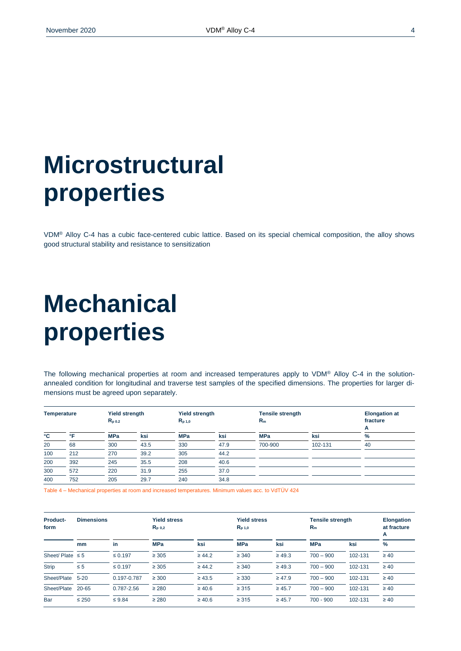### **Microstructural properties**

VDM® Alloy C-4 has a cubic face-centered cubic lattice. Based on its special chemical composition, the alloy shows good structural stability and resistance to sensitization

### **Mechanical properties**

The following mechanical properties at room and increased temperatures apply to VDM® Alloy C-4 in the solutionannealed condition for longitudinal and traverse test samples of the specified dimensions. The properties for larger dimensions must be agreed upon separately.

| <b>Temperature</b> |     | <b>Yield strength</b><br>$R_{p0.2}$ |      | <b>Yield strength</b><br>$R_{p,1,0}$ |      | <b>Tensile strength</b><br>$R_m$ |         | <b>Elongation at</b><br>fracture<br>A |
|--------------------|-----|-------------------------------------|------|--------------------------------------|------|----------------------------------|---------|---------------------------------------|
| °C                 | ∘⊏  | <b>MPa</b>                          | ksi  | <b>MPa</b>                           | ksi  | <b>MPa</b>                       | ksi     | %                                     |
| 20                 | 68  | 300                                 | 43.5 | 330                                  | 47.9 | 700-900                          | 102-131 | 40                                    |
| 100                | 212 | 270                                 | 39.2 | 305                                  | 44.2 |                                  |         |                                       |
| 200                | 392 | 245                                 | 35.5 | 208                                  | 40.6 |                                  |         |                                       |
| 300                | 572 | 220                                 | 31.9 | 255                                  | 37.0 |                                  |         |                                       |
| 400                | 752 | 205                                 | 29.7 | 240                                  | 34.8 |                                  |         |                                       |

Table 4 – Mechanical properties at room and increased temperatures. Minimum values acc. to VdTÜV 424

| <b>Product-</b><br>form | <b>Dimensions</b> |              | <b>Yield stress</b><br>$R_{p,0,2}$ |             | <b>Yield stress</b><br>$R_{p 1,0}$ |             | <b>Tensile strength</b><br>$R_m$ |         | <b>Elongation</b><br>at fracture<br>A |
|-------------------------|-------------------|--------------|------------------------------------|-------------|------------------------------------|-------------|----------------------------------|---------|---------------------------------------|
|                         | mm                | in           | <b>MPa</b>                         | ksi         | <b>MPa</b>                         | ksi         | <b>MPa</b>                       | ksi     | $\%$                                  |
| Sheet/Plate $\leq 5$    |                   | $\leq 0.197$ | $\geq 305$                         | $\geq 44.2$ | $\geq 340$                         | $\geq 49.3$ | $700 - 900$                      | 102-131 | $\geq 40$                             |
| <b>Strip</b>            | $\leq 5$          | $\leq 0.197$ | $\geq 305$                         | $\geq 44.2$ | $\geq 340$                         | $\geq 49.3$ | $700 - 900$                      | 102-131 | $\geq 40$                             |
| Sheet/Plate             | $5 - 20$          | 0.197-0.787  | $\geq 300$                         | $\geq 43.5$ | $\geq$ 330                         | $\geq 47.9$ | $700 - 900$                      | 102-131 | $\geq 40$                             |
| Sheet/Plate             | $20 - 65$         | 0.787-2.56   | $\geq 280$                         | $\geq 40.6$ | $\geq 315$                         | $\geq 45.7$ | $700 - 900$                      | 102-131 | $\geq 40$                             |
| Bar                     | $\leq 250$        | $\leq 9.84$  | $\geq 280$                         | $\geq 40.6$ | $\geq 315$                         | $\geq 45.7$ | $700 - 900$                      | 102-131 | $\geq 40$                             |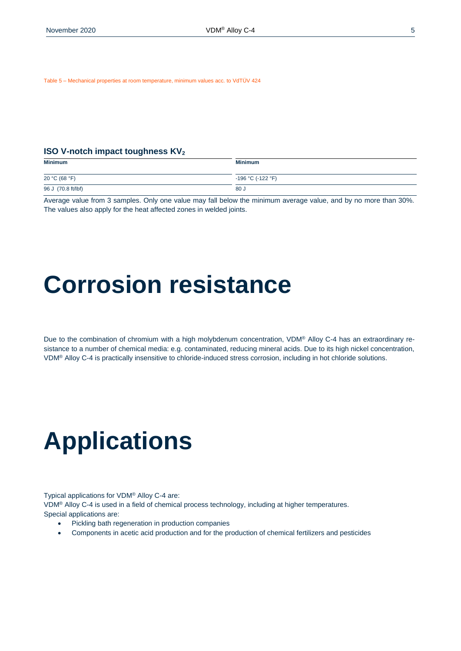Table 5 – Mechanical properties at room temperature, minimum values acc. to VdTÜV 424

#### **ISO V-notch impact toughness KV<sub>2</sub>**

| <b>Minimum</b>     | <b>Minimum</b>    |
|--------------------|-------------------|
| 20 °C (68 °F)      | -196 °C (-122 °F) |
| 96 J (70.8 ft/lbf) | 80J               |

Average value from 3 samples. Only one value may fall below the minimum average value, and by no more than 30%. The values also apply for the heat affected zones in welded joints.

### **Corrosion resistance**

Due to the combination of chromium with a high molybdenum concentration, VDM® Alloy C-4 has an extraordinary resistance to a number of chemical media: e.g. contaminated, reducing mineral acids. Due to its high nickel concentration, VDM® Alloy C-4 is practically insensitive to chloride-induced stress corrosion, including in hot chloride solutions.

### **Applications**

Typical applications for VDM® Alloy C-4 are:

VDM® Alloy C-4 is used in a field of chemical process technology, including at higher temperatures. Special applications are:

- Pickling bath regeneration in production companies
- Components in acetic acid production and for the production of chemical fertilizers and pesticides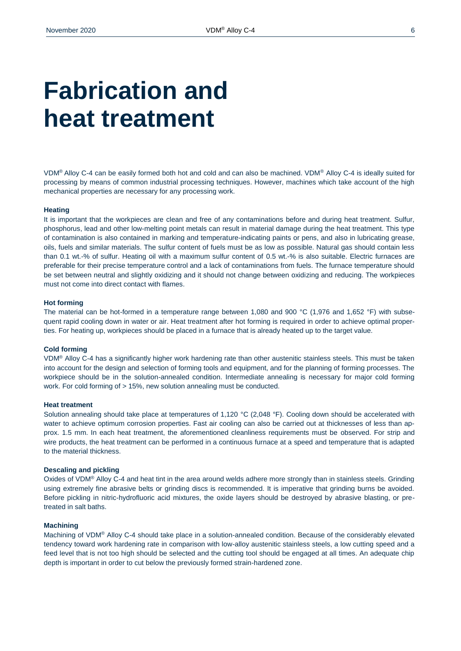### **Fabrication and heat treatment**

VDM® Alloy C-4 can be easily formed both hot and cold and can also be machined. VDM® Alloy C-4 is ideally suited for processing by means of common industrial processing techniques. However, machines which take account of the high mechanical properties are necessary for any processing work.

#### **Heating**

It is important that the workpieces are clean and free of any contaminations before and during heat treatment. Sulfur, phosphorus, lead and other low-melting point metals can result in material damage during the heat treatment. This type of contamination is also contained in marking and temperature-indicating paints or pens, and also in lubricating grease, oils, fuels and similar materials. The sulfur content of fuels must be as low as possible. Natural gas should contain less than 0.1 wt.-% of sulfur. Heating oil with a maximum sulfur content of 0.5 wt.-% is also suitable. Electric furnaces are preferable for their precise temperature control and a lack of contaminations from fuels. The furnace temperature should be set between neutral and slightly oxidizing and it should not change between oxidizing and reducing. The workpieces must not come into direct contact with flames.

#### **Hot forming**

The material can be hot-formed in a temperature range between 1,080 and 900 °C (1,976 and 1,652 °F) with subsequent rapid cooling down in water or air. Heat treatment after hot forming is required in order to achieve optimal properties. For heating up, workpieces should be placed in a furnace that is already heated up to the target value.

#### **Cold forming**

VDM® Alloy C-4 has a significantly higher work hardening rate than other austenitic stainless steels. This must be taken into account for the design and selection of forming tools and equipment, and for the planning of forming processes. The workpiece should be in the solution-annealed condition. Intermediate annealing is necessary for major cold forming work. For cold forming of > 15%, new solution annealing must be conducted.

#### **Heat treatment**

Solution annealing should take place at temperatures of 1,120 °C (2,048 °F). Cooling down should be accelerated with water to achieve optimum corrosion properties. Fast air cooling can also be carried out at thicknesses of less than approx. 1.5 mm. In each heat treatment, the aforementioned cleanliness requirements must be observed. For strip and wire products, the heat treatment can be performed in a continuous furnace at a speed and temperature that is adapted to the material thickness.

#### **Descaling and pickling**

Oxides of VDM® Alloy C-4 and heat tint in the area around welds adhere more strongly than in stainless steels. Grinding using extremely fine abrasive belts or grinding discs is recommended. It is imperative that grinding burns be avoided. Before pickling in nitric-hydrofluoric acid mixtures, the oxide layers should be destroyed by abrasive blasting, or pretreated in salt baths.

#### **Machining**

Machining of VDM® Alloy C-4 should take place in a solution-annealed condition. Because of the considerably elevated tendency toward work hardening rate in comparison with low-alloy austenitic stainless steels, a low cutting speed and a feed level that is not too high should be selected and the cutting tool should be engaged at all times. An adequate chip depth is important in order to cut below the previously formed strain-hardened zone.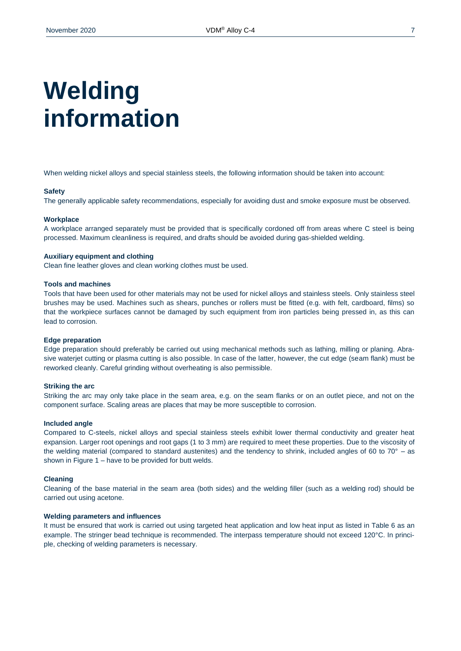# **Welding information**

When welding nickel alloys and special stainless steels, the following information should be taken into account:

#### **Safety**

The generally applicable safety recommendations, especially for avoiding dust and smoke exposure must be observed.

#### **Workplace**

A workplace arranged separately must be provided that is specifically cordoned off from areas where C steel is being processed. Maximum cleanliness is required, and drafts should be avoided during gas-shielded welding.

#### **Auxiliary equipment and clothing**

Clean fine leather gloves and clean working clothes must be used.

#### **Tools and machines**

Tools that have been used for other materials may not be used for nickel alloys and stainless steels. Only stainless steel brushes may be used. Machines such as shears, punches or rollers must be fitted (e.g. with felt, cardboard, films) so that the workpiece surfaces cannot be damaged by such equipment from iron particles being pressed in, as this can lead to corrosion.

#### **Edge preparation**

Edge preparation should preferably be carried out using mechanical methods such as lathing, milling or planing. Abrasive waterjet cutting or plasma cutting is also possible. In case of the latter, however, the cut edge (seam flank) must be reworked cleanly. Careful grinding without overheating is also permissible.

#### **Striking the arc**

Striking the arc may only take place in the seam area, e.g. on the seam flanks or on an outlet piece, and not on the component surface. Scaling areas are places that may be more susceptible to corrosion.

#### **Included angle**

Compared to C-steels, nickel alloys and special stainless steels exhibit lower thermal conductivity and greater heat expansion. Larger root openings and root gaps (1 to 3 mm) are required to meet these properties. Due to the viscosity of the welding material (compared to standard austenites) and the tendency to shrink, included angles of 60 to  $70^{\circ}$  – as shown in Figure 1 – have to be provided for butt welds.

#### **Cleaning**

Cleaning of the base material in the seam area (both sides) and the welding filler (such as a welding rod) should be carried out using acetone.

#### **Welding parameters and influences**

It must be ensured that work is carried out using targeted heat application and low heat input as listed in Table 6 as an example. The stringer bead technique is recommended. The interpass temperature should not exceed 120°C. In principle, checking of welding parameters is necessary.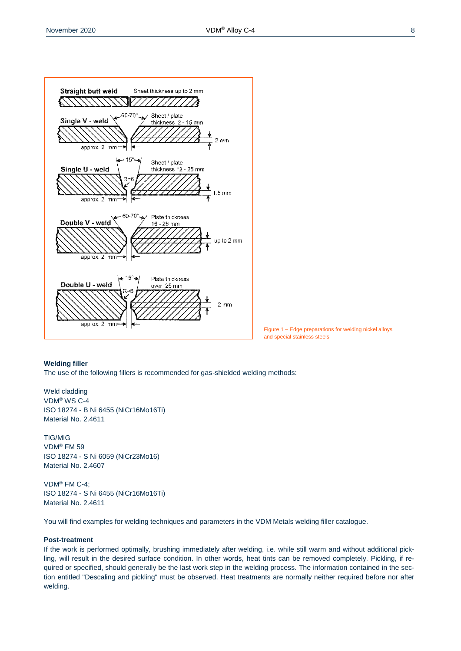

Figure 1 – Edge preparations for welding nickel alloys and special stainless steels

#### **Welding filler**

The use of the following fillers is recommended for gas-shielded welding methods:

Weld cladding VDM® WS C-4 ISO 18274 - B Ni 6455 (NiCr16Mo16Ti) Material No. 2.4611

TIG/MIG VDM® FM 59 ISO 18274 - S Ni 6059 (NiCr23Mo16) Material No. 2.4607

VDM® FM C-4; ISO 18274 - S Ni 6455 (NiCr16Mo16Ti) Material No. 2.4611

You will find examples for welding techniques and parameters in the VDM Metals welding filler catalogue.

#### **Post-treatment**

If the work is performed optimally, brushing immediately after welding, i.e. while still warm and without additional pickling, will result in the desired surface condition. In other words, heat tints can be removed completely. Pickling, if required or specified, should generally be the last work step in the welding process. The information contained in the section entitled "Descaling and pickling" must be observed. Heat treatments are normally neither required before nor after welding.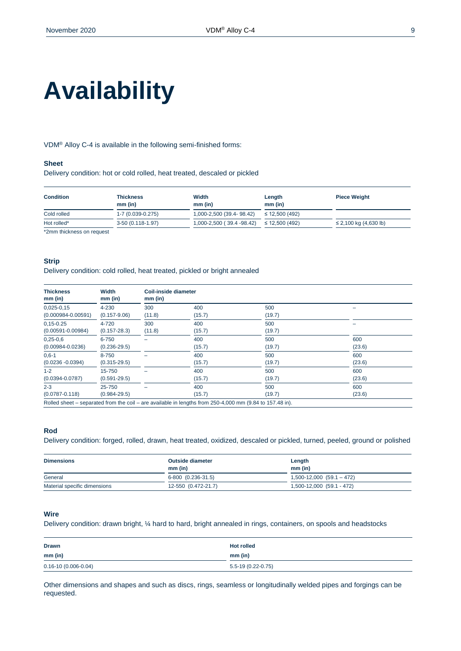# **Availability**

VDM® Alloy C-4 is available in the following semi-finished forms:

#### **Sheet**

Delivery condition: hot or cold rolled, heat treated, descaled or pickled

| <b>Condition</b>                                                                                                                                                                                                                                                                                                                                                                                                        | <b>Thickness</b><br>$mm$ (in) | Width<br>$mm$ (in)        | Length<br>$mm$ (in) | <b>Piece Weight</b>        |
|-------------------------------------------------------------------------------------------------------------------------------------------------------------------------------------------------------------------------------------------------------------------------------------------------------------------------------------------------------------------------------------------------------------------------|-------------------------------|---------------------------|---------------------|----------------------------|
| Cold rolled                                                                                                                                                                                                                                                                                                                                                                                                             | 1-7 (0.039-0.275)             | 1,000-2,500 (39.4-98.42)  | $\leq$ 12,500 (492) |                            |
| Hot rolled*                                                                                                                                                                                                                                                                                                                                                                                                             | 3-50 (0.118-1.97)             | 1,000-2,500 (39.4 -98.42) | $\leq$ 12.500 (492) | $\leq$ 2,100 kg (4,630 lb) |
| $\mathbf{a} \mathbf{b} = \mathbf{a} \mathbf{b} + \mathbf{b} \mathbf{c} + \mathbf{b} \mathbf{c} + \mathbf{c} \mathbf{c} + \mathbf{c} \mathbf{c} + \mathbf{c} \mathbf{c} + \mathbf{c} \mathbf{c} + \mathbf{c} \mathbf{c} + \mathbf{c} \mathbf{c} + \mathbf{c} \mathbf{c} + \mathbf{c} \mathbf{c} + \mathbf{c} \mathbf{c} + \mathbf{c} \mathbf{c} + \mathbf{c} \mathbf{c} + \mathbf{c} \mathbf{c} + \mathbf{c} \mathbf{c}$ |                               |                           |                     |                            |

\*2mm thickness on request

#### **Strip**

Delivery condition: cold rolled, heat treated, pickled or bright annealed

| <b>Thickness</b><br>$mm$ (in) | Width<br>$mm$ (in) | Coil-inside diameter<br>mm (in) |                                                                                                          |        |        |
|-------------------------------|--------------------|---------------------------------|----------------------------------------------------------------------------------------------------------|--------|--------|
| $0,025-0,15$                  | 4-230              | 300                             | 400                                                                                                      | 500    |        |
| $(0.000984 - 0.00591)$        | $(0.157 - 9.06)$   | (11.8)                          | (15.7)                                                                                                   | (19.7) |        |
| $0,15 - 0.25$                 | 4-720              | 300                             | 400                                                                                                      | 500    |        |
| $(0.00591 - 0.00984)$         | $(0.157 - 28.3)$   | (11.8)                          | (15.7)                                                                                                   | (19.7) |        |
| $0,25-0,6$                    | 6-750              |                                 | 400                                                                                                      | 500    | 600    |
| $(0.00984 - 0.0236)$          | $(0.236 - 29.5)$   |                                 | (15.7)                                                                                                   | (19.7) | (23.6) |
| $0.6 - 1$                     | 8-750              |                                 | 400                                                                                                      | 500    | 600    |
| $(0.0236 - 0.0394)$           | $(0.315 - 29.5)$   |                                 | (15.7)                                                                                                   | (19.7) | (23.6) |
| $1 - 2$                       | 15-750             |                                 | 400                                                                                                      | 500    | 600    |
| $(0.0394 - 0.0787)$           | $(0.591 - 29.5)$   |                                 | (15.7)                                                                                                   | (19.7) | (23.6) |
| $2 - 3$                       | 25-750             |                                 | 400                                                                                                      | 500    | 600    |
| $(0.0787 - 0.118)$            | $(0.984 - 29.5)$   |                                 | (15.7)                                                                                                   | (19.7) | (23.6) |
|                               |                    |                                 | Rolled sheet – separated from the coil – are available in lengths from 250-4,000 mm (9.84 to 157.48 in). |        |        |

#### **Rod**

Delivery condition: forged, rolled, drawn, heat treated, oxidized, descaled or pickled, turned, peeled, ground or polished

| <b>Dimensions</b>            | <b>Outside diameter</b><br>$mm$ (in) | Length<br>mm (in)             |
|------------------------------|--------------------------------------|-------------------------------|
| General                      | 6-800 (0.236-31.5)                   | $1,500-12,000$ $(59.1 - 472)$ |
| Material specific dimensions | 12-550 (0.472-21.7)                  | 1,500-12,000 (59.1 - 472)     |

#### **Wire**

Delivery condition: drawn bright, ¼ hard to hard, bright annealed in rings, containers, on spools and headstocks

| <b>Drawn</b>              | <b>Hot rolled</b>   |
|---------------------------|---------------------|
| $mm$ (in)                 | mm (in)             |
| $0.16 - 10(0.006 - 0.04)$ | $5.5-19(0.22-0.75)$ |

Other dimensions and shapes and such as discs, rings, seamless or longitudinally welded pipes and forgings can be requested.